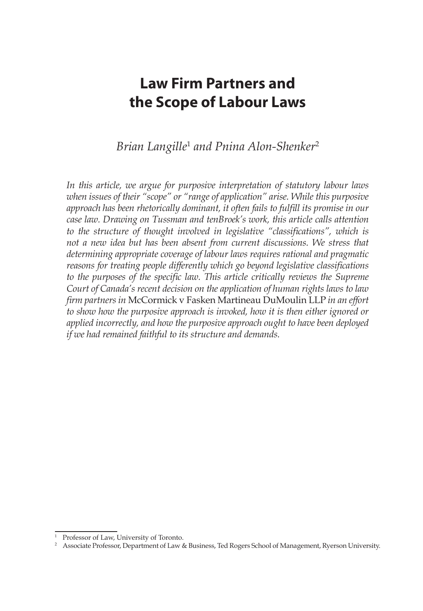# **Law Firm Partners and the Scope of Labour Laws**

## Brian Langille<sup>1</sup> and Pnina Alon-Shenker<sup>2</sup>

*In this article, we argue for purposive interpretation of statutory labour laws when issues of their "scope" or "range of application" arise. While this purposive approach has been rhetorically dominant, it often fails to fulfill its promise in our case law. Drawing on Tussman and tenBroek's work, this article calls attention to the structure of thought involved in legislative "classifications", which is not a new idea but has been absent from current discussions. We stress that determining appropriate coverage of labour laws requires rational and pragmatic reasons for treating people differently which go beyond legislative classifications*  to the purposes of the specific law. This article critically reviews the Supreme *Court of Canada's recent decision on the application of human rights laws to law firm partners in* McCormick v Fasken Martineau DuMoulin LLP *in an effort to show how the purposive approach is invoked, how it is then either ignored or applied incorrectly, and how the purposive approach ought to have been deployed if we had remained faithful to its structure and demands.*

<sup>&</sup>lt;sup>1</sup> Professor of Law, University of Toronto.

<sup>&</sup>lt;sup>2</sup> Associate Professor, Department of Law & Business, Ted Rogers School of Management, Ryerson University.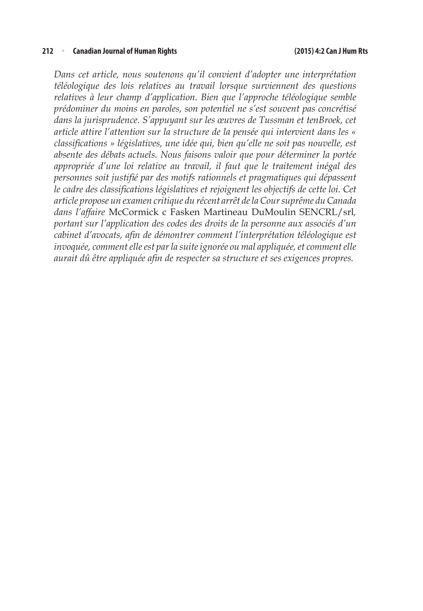#### **212** <sup>n</sup> **Canadian Journal of Human Rights (2015) 4:2 Can J Hum Rts**

*Dans cet article, nous soutenons qu'il convient d'adopter une interprétation téléologique des lois relatives au travail lorsque surviennent des questions relatives à leur champ d'application. Bien que l'approche téléologique semble prédominer du moins en paroles, son potentiel ne s'est souvent pas concrétisé dans la jurisprudence. S'appuyant sur les œuvres de Tussman et tenBroek, cet article attire l'attention sur la structure de la pensée qui intervient dans les « classifications » législatives, une idée qui, bien qu'elle ne soit pas nouvelle, est absente des débats actuels. Nous faisons valoir que pour déterminer la portée appropriée d'une loi relative au travail, il faut que le traitement inégal des personnes soit justifié par des motifs rationnels et pragmatiques qui dépassent le cadre des classifications législatives et rejoignent les objectifs de cette loi. Cet article propose un examen critique du récent arrêt de la Cour suprême du Canada dans l'affaire* McCormick c Fasken Martineau DuMoulin SENCRL/srl*, portant sur l'application des codes des droits de la personne aux associés d'un cabinet d'avocats, afin de démontrer comment l'interprétation téléologique est invoquée, comment elle est par la suite ignorée ou mal appliquée, et comment elle aurait dû être appliquée afin de respecter sa structure et ses exigences propres.*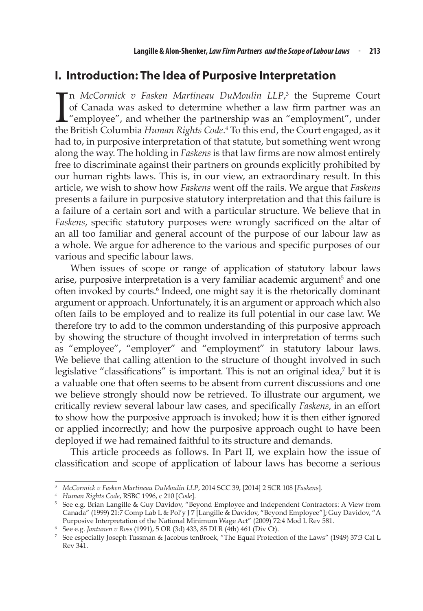### **I. Introduction: The Idea of Purposive Interpretation**

 $\prod_{\text{the}}$ n *McCormick v Fasken Martineau DuMoulin LLP*, 3 the Supreme Court of Canada was asked to determine whether a law firm partner was an "employee", and whether the partnership was an "employment", under the British Columbia *Human Rights Code*. 4 To this end, the Court engaged, as it had to, in purposive interpretation of that statute, but something went wrong along the way. The holding in *Faskens* is that law firms are now almost entirely free to discriminate against their partners on grounds explicitly prohibited by our human rights laws. This is, in our view, an extraordinary result. In this article, we wish to show how *Faskens* went off the rails. We argue that *Faskens*  presents a failure in purposive statutory interpretation and that this failure is a failure of a certain sort and with a particular structure. We believe that in *Faskens*, specific statutory purposes were wrongly sacrificed on the altar of an all too familiar and general account of the purpose of our labour law as a whole. We argue for adherence to the various and specific purposes of our various and specific labour laws.

When issues of scope or range of application of statutory labour laws arise, purposive interpretation is a very familiar academic argument<sup>5</sup> and one often invoked by courts.<sup>6</sup> Indeed, one might say it is the rhetorically dominant argument or approach. Unfortunately, it is an argument or approach which also often fails to be employed and to realize its full potential in our case law. We therefore try to add to the common understanding of this purposive approach by showing the structure of thought involved in interpretation of terms such as "employee", "employer" and "employment" in statutory labour laws. We believe that calling attention to the structure of thought involved in such legislative "classifications" is important. This is not an original idea,<sup>7</sup> but it is a valuable one that often seems to be absent from current discussions and one we believe strongly should now be retrieved. To illustrate our argument, we critically review several labour law cases, and specifically *Faskens*, in an effort to show how the purposive approach is invoked; how it is then either ignored or applied incorrectly; and how the purposive approach ought to have been deployed if we had remained faithful to its structure and demands.

This article proceeds as follows. In Part II, we explain how the issue of classification and scope of application of labour laws has become a serious

<sup>3</sup> *McCormick v Fasken Martineau DuMoulin LLP*, 2014 SCC 39, [2014] 2 SCR 108 [*Faskens*].

<sup>4</sup> *Human Rights Code*, RSBC 1996, c 210 [*Code*].

<sup>5</sup> See e.g. Brian Langille & Guy Davidov, "Beyond Employee and Independent Contractors: A View from Canada" (1999) 21:7 Comp Lab L & Pol'y J 7 [Langille & Davidov, "Beyond Employee"]; Guy Davidov, "A Purposive Interpretation of the National Minimum Wage Act" (2009) 72:4 Mod L Rev 581.

<sup>6</sup> See e.g. *Jantunen v Ross* (1991), 5 OR (3d) 433, 85 DLR (4th) 461 (Div Ct).

<sup>7</sup> See especially Joseph Tussman & Jacobus tenBroek, "The Equal Protection of the Laws" (1949) 37:3 Cal L Rev 341.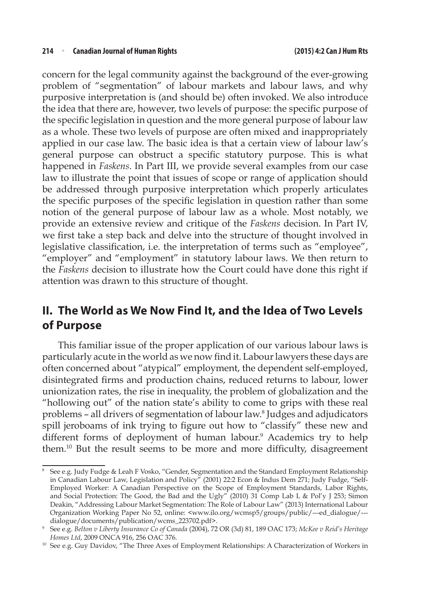concern for the legal community against the background of the ever-growing problem of "segmentation" of labour markets and labour laws, and why purposive interpretation is (and should be) often invoked. We also introduce the idea that there are, however, two levels of purpose: the specific purpose of the specific legislation in question and the more general purpose of labour law as a whole. These two levels of purpose are often mixed and inappropriately applied in our case law. The basic idea is that a certain view of labour law's general purpose can obstruct a specific statutory purpose. This is what happened in *Faskens*. In Part III, we provide several examples from our case law to illustrate the point that issues of scope or range of application should be addressed through purposive interpretation which properly articulates the specific purposes of the specific legislation in question rather than some notion of the general purpose of labour law as a whole. Most notably, we provide an extensive review and critique of the *Faskens* decision. In Part IV, we first take a step back and delve into the structure of thought involved in legislative classification, i.e. the interpretation of terms such as "employee", "employer" and "employment" in statutory labour laws. We then return to the *Faskens* decision to illustrate how the Court could have done this right if attention was drawn to this structure of thought.

## **II. The World as We Now Find It, and the Idea of Two Levels of Purpose**

This familiar issue of the proper application of our various labour laws is particularly acute in the world as we now find it. Labour lawyers these days are often concerned about "atypical" employment, the dependent self-employed, disintegrated firms and production chains, reduced returns to labour, lower unionization rates, the rise in inequality, the problem of globalization and the "hollowing out" of the nation state's ability to come to grips with these real problems – all drivers of segmentation of labour law.8 Judges and adjudicators spill jeroboams of ink trying to figure out how to "classify" these new and different forms of deployment of human labour.9 Academics try to help them.10 But the result seems to be more and more difficulty, disagreement

<sup>8</sup> See e.g. Judy Fudge & Leah F Vosko, "Gender, Segmentation and the Standard Employment Relationship in Canadian Labour Law, Legislation and Policy" (2001) 22:2 Econ & Indus Dem 271; Judy Fudge, "Self-Employed Worker: A Canadian Perspective on the Scope of Employment Standards, Labor Rights, and Social Protection: The Good, the Bad and the Ugly" (2010) 31 Comp Lab L & Pol'y J 253; Simon Deakin, "Addressing Labour Market Segmentation: The Role of Labour Law" (2013) International Labour Organization Working Paper No 52, online: <www.ilo.org/wcmsp5/groups/public/---ed\_dialogue/---

<sup>&</sup>lt;sup>9</sup> See e.g. *Belton v Liberty Insurance Co of Canada* (2004), 72 OR (3d) 81, 189 OAC 173; *McKee v Reid's Heritage Homes Ltd*, 2009 ONCA 916, 256 OAC 376.

<sup>&</sup>lt;sup>10</sup> See e.g. Guy Davidov, "The Three Axes of Employment Relationships: A Characterization of Workers in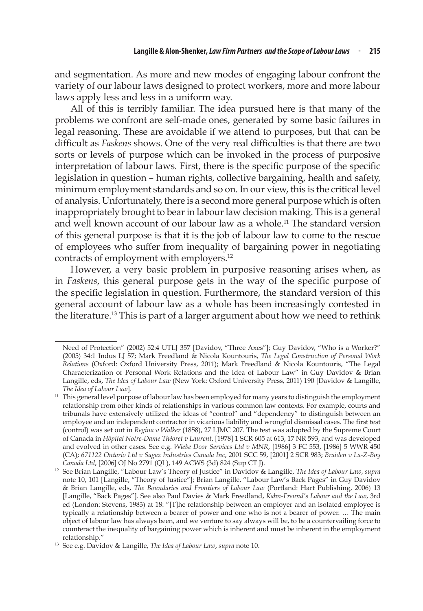and segmentation. As more and new modes of engaging labour confront the variety of our labour laws designed to protect workers, more and more labour laws apply less and less in a uniform way.

All of this is terribly familiar. The idea pursued here is that many of the problems we confront are self-made ones, generated by some basic failures in legal reasoning. These are avoidable if we attend to purposes, but that can be difficult as *Faskens* shows. One of the very real difficulties is that there are two sorts or levels of purpose which can be invoked in the process of purposive interpretation of labour laws. First, there is the specific purpose of the specific legislation in question – human rights, collective bargaining, health and safety, minimum employment standards and so on. In our view, this is the critical level of analysis. Unfortunately, there is a second more general purpose which is often inappropriately brought to bear in labour law decision making. This is a general and well known account of our labour law as a whole.<sup>11</sup> The standard version of this general purpose is that it is the job of labour law to come to the rescue of employees who suffer from inequality of bargaining power in negotiating contracts of employment with employers.12

However, a very basic problem in purposive reasoning arises when, as in *Faskens*, this general purpose gets in the way of the specific purpose of the specific legislation in question. Furthermore, the standard version of this general account of labour law as a whole has been increasingly contested in the literature.<sup>13</sup> This is part of a larger argument about how we need to rethink

Need of Protection" (2002) 52:4 UTLJ 357 [Davidov, "Three Axes"]; Guy Davidov, "Who is a Worker?" (2005) 34:1 Indus LJ 57; Mark Freedland & Nicola Kountouris, *The Legal Construction of Personal Work Relations* (Oxford: Oxford University Press, 2011); Mark Freedland & Nicola Kountouris, "The Legal Characterization of Personal Work Relations and the Idea of Labour Law" in Guy Davidov & Brian Langille, eds, *The Idea of Labour Law* (New York: Oxford University Press, 2011) 190 [Davidov & Langille, *The Idea of Labour Law*]. 11 This general level purpose of labour law has been employed for many years to distinguish the employment

relationship from other kinds of relationships in various common law contexts. For example, courts and tribunals have extensively utilized the ideas of "control" and "dependency" to distinguish between an employee and an independent contractor in vicarious liability and wrongful dismissal cases. The first test (control) was set out in *Regina v Walker* (1858), 27 LJMC 207. The test was adopted by the Supreme Court of Canada in *Hôpital Notre-Dame Théoret v Laurent*, [1978] 1 SCR 605 at 613, 17 NR 593, and was developed and evolved in other cases. See e.g. *Wiebe Door Services Ltd v MNR*, [1986] 3 FC 553, [1986] 5 WWR 450 (CA); *671122 Ontario Ltd v Sagaz Industries Canada Inc*, 2001 SCC 59, [2001] 2 SCR 983; *Braiden v La-Z-Boy Canada Ltd*, [2006] OJ No 2791 (QL), 149 ACWS (3d) 824 (Sup CT J).

<sup>12</sup> See Brian Langille, "Labour Law's Theory of Justice" in Davidov & Langille, *The Idea of Labour Law*, *supra*  note 10, 101 [Langille, "Theory of Justice"]; Brian Langille, "Labour Law's Back Pages" in Guy Davidov & Brian Langille, eds, *The Boundaries and Frontiers of Labour Law* (Portland: Hart Publishing, 2006) 13 [Langille, "Back Pages"]. See also Paul Davies & Mark Freedland, *Kahn-Freund's Labour and the Law*, 3rd ed (London: Stevens, 1983) at 18: "[T]he relationship between an employer and an isolated employee is typically a relationship between a bearer of power and one who is not a bearer of power. … The main object of labour law has always been, and we venture to say always will be, to be a countervailing force to counteract the inequality of bargaining power which is inherent and must be inherent in the employment relationship."

<sup>13</sup> See e.g. Davidov & Langille, *The Idea of Labour Law*, *supra* note 10.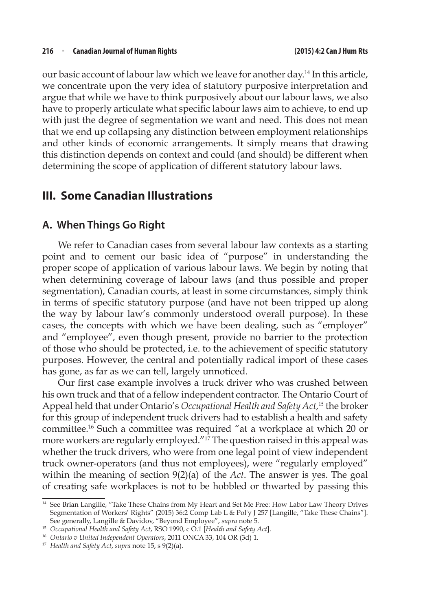our basic account of labour law which we leave for another day.14 In this article, we concentrate upon the very idea of statutory purposive interpretation and argue that while we have to think purposively about our labour laws, we also have to properly articulate what specific labour laws aim to achieve, to end up with just the degree of segmentation we want and need. This does not mean that we end up collapsing any distinction between employment relationships and other kinds of economic arrangements. It simply means that drawing this distinction depends on context and could (and should) be different when determining the scope of application of different statutory labour laws.

#### **III. Some Canadian Illustrations**

#### **A. When Things Go Right**

We refer to Canadian cases from several labour law contexts as a starting point and to cement our basic idea of "purpose" in understanding the proper scope of application of various labour laws. We begin by noting that when determining coverage of labour laws (and thus possible and proper segmentation), Canadian courts, at least in some circumstances, simply think in terms of specific statutory purpose (and have not been tripped up along the way by labour law's commonly understood overall purpose). In these cases, the concepts with which we have been dealing, such as "employer" and "employee", even though present, provide no barrier to the protection of those who should be protected, i.e. to the achievement of specific statutory purposes. However, the central and potentially radical import of these cases has gone, as far as we can tell, largely unnoticed.

Our first case example involves a truck driver who was crushed between his own truck and that of a fellow independent contractor. The Ontario Court of Appeal held that under Ontario's *Occupational Health and Safety Act*, <sup>15</sup> the broker for this group of independent truck drivers had to establish a health and safety committee.16 Such a committee was required "at a workplace at which 20 or more workers are regularly employed."<sup>17</sup> The question raised in this appeal was whether the truck drivers, who were from one legal point of view independent truck owner-operators (and thus not employees), were "regularly employed" within the meaning of section 9(2)(a) of the *Act*. The answer is yes. The goal of creating safe workplaces is not to be hobbled or thwarted by passing this

<sup>&</sup>lt;sup>14</sup> See Brian Langille, "Take These Chains from My Heart and Set Me Free: How Labor Law Theory Drives Segmentation of Workers' Rights" (2015) 36:2 Comp Lab L & Pol'y J 257 [Langille, "Take These Chains"]. See generally, Langille & Davidov, "Beyond Employee", *supra* note 5.

<sup>15</sup> *Occupational Health and Safety Act*, RSO 1990, c O.1 [*Health and Safety Act*].

<sup>16</sup> *Ontario v United Independent Operators*, 2011 ONCA 33, 104 OR (3d) 1.

<sup>17</sup> *Health and Safety Act*, *supra* note 15, s 9(2)(a).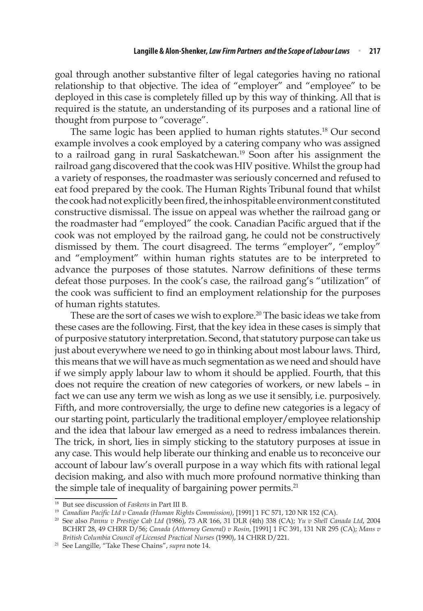goal through another substantive filter of legal categories having no rational relationship to that objective. The idea of "employer" and "employee" to be deployed in this case is completely filled up by this way of thinking. All that is required is the statute, an understanding of its purposes and a rational line of thought from purpose to "coverage".

The same logic has been applied to human rights statutes.18 Our second example involves a cook employed by a catering company who was assigned to a railroad gang in rural Saskatchewan.<sup>19</sup> Soon after his assignment the railroad gang discovered that the cook was HIV positive. Whilst the group had a variety of responses, the roadmaster was seriously concerned and refused to eat food prepared by the cook. The Human Rights Tribunal found that whilst the cook had not explicitly been fired, the inhospitable environment constituted constructive dismissal. The issue on appeal was whether the railroad gang or the roadmaster had "employed" the cook. Canadian Pacific argued that if the cook was not employed by the railroad gang, he could not be constructively dismissed by them. The court disagreed. The terms "employer", "employ" and "employment" within human rights statutes are to be interpreted to advance the purposes of those statutes. Narrow definitions of these terms defeat those purposes. In the cook's case, the railroad gang's "utilization" of the cook was sufficient to find an employment relationship for the purposes of human rights statutes.

These are the sort of cases we wish to explore.<sup>20</sup> The basic ideas we take from these cases are the following. First, that the key idea in these cases is simply that of purposive statutory interpretation. Second, that statutory purpose can take us just about everywhere we need to go in thinking about most labour laws. Third, this means that we will have as much segmentation as we need and should have if we simply apply labour law to whom it should be applied. Fourth, that this does not require the creation of new categories of workers, or new labels – in fact we can use any term we wish as long as we use it sensibly, i.e. purposively. Fifth, and more controversially, the urge to define new categories is a legacy of our starting point, particularly the traditional employer/employee relationship and the idea that labour law emerged as a need to redress imbalances therein. The trick, in short, lies in simply sticking to the statutory purposes at issue in any case. This would help liberate our thinking and enable us to reconceive our account of labour law's overall purpose in a way which fits with rational legal decision making, and also with much more profound normative thinking than the simple tale of inequality of bargaining power permits. $21$ 

<sup>18</sup> But see discussion of *Faskens* in Part III B.

<sup>19</sup> *Canadian Pacific Ltd v Canada (Human Rights Commission)*, [1991] 1 FC 571, 120 NR 152 (CA).

<sup>20</sup> See also *Pannu v Prestige Cab Ltd* (1986), 73 AR 166, 31 DLR (4th) 338 (CA); *Yu v Shell Canada Ltd*, 2004 BCHRT 28, 49 CHRR D/56; *Canada (Attorney General) v Rosin*, [1991] 1 FC 391, 131 NR 295 (CA); *Mans v British Columbia Council of Licensed Practical Nurses* (1990), 14 CHRR D/221.

<sup>21</sup> See Langille, "Take These Chains", *supra* note 14.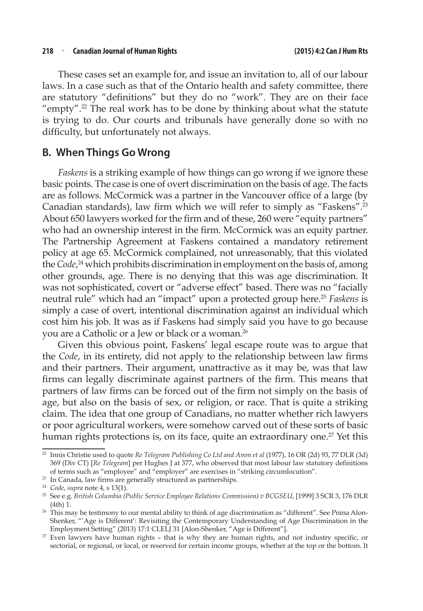These cases set an example for, and issue an invitation to, all of our labour laws. In a case such as that of the Ontario health and safety committee, there are statutory "definitions" but they do no "work". They are on their face "empty".<sup>22</sup> The real work has to be done by thinking about what the statute is trying to do. Our courts and tribunals have generally done so with no difficulty, but unfortunately not always.

#### **B. When Things Go Wrong**

*Faskens* is a striking example of how things can go wrong if we ignore these basic points. The case is one of overt discrimination on the basis of age. The facts are as follows. McCormick was a partner in the Vancouver office of a large (by Canadian standards), law firm which we will refer to simply as "Faskens".<sup>23</sup> About 650 lawyers worked for the firm and of these, 260 were "equity partners" who had an ownership interest in the firm. McCormick was an equity partner. The Partnership Agreement at Faskens contained a mandatory retirement policy at age 65. McCormick complained, not unreasonably, that this violated the *Code*, 24 which prohibits discrimination in employment on the basis of, among other grounds, age. There is no denying that this was age discrimination. It was not sophisticated, covert or "adverse effect" based. There was no "facially neutral rule" which had an "impact" upon a protected group here.25 *Faskens* is simply a case of overt, intentional discrimination against an individual which cost him his job. It was as if Faskens had simply said you have to go because you are a Catholic or a Jew or black or a woman.26

Given this obvious point, Faskens' legal escape route was to argue that the *Code*, in its entirety, did not apply to the relationship between law firms and their partners. Their argument, unattractive as it may be, was that law firms can legally discriminate against partners of the firm. This means that partners of law firms can be forced out of the firm not simply on the basis of age, but also on the basis of sex, or religion, or race. That is quite a striking claim. The idea that one group of Canadians, no matter whether rich lawyers or poor agricultural workers, were somehow carved out of these sorts of basic human rights protections is, on its face, quite an extraordinary one.<sup>27</sup> Yet this

<sup>22</sup> Innis Christie used to quote *Re Telegram Publishing Co Ltd and Amm et al* (1977), 16 OR (2d) 93, 77 DLR (3d) 369 (Div CT) [*Re Telegram*] per Hughes J at 377, who observed that most labour law statutory definitions of terms such as "employee" and "employer" are exercises in "striking circumlocution".

<sup>&</sup>lt;sup>23</sup> In Canada, law firms are generally structured as partnerships.

<sup>24</sup> *Code*, *supra* note 4, s 13(1).

<sup>25</sup> See e.g. *British Columbia (Public Service Employee Relations Commission) v BCGSEU*, [1999] 3 SCR 3, 176 DLR (4th) 1.

<sup>&</sup>lt;sup>26</sup> This may be testimony to our mental ability to think of age discrimination as "different". See Pnina Alon-Shenker, "'Age is Different': Revisiting the Contemporary Understanding of Age Discrimination in the Employment Setting" (2013) 17:1 CLELJ 31 [Alon-Shenker, "Age is Different"].

<sup>&</sup>lt;sup>27</sup> Even lawyers have human rights - that is why they are human rights, and not industry specific, or sectorial, or regional, or local, or reserved for certain income groups, whether at the top or the bottom. It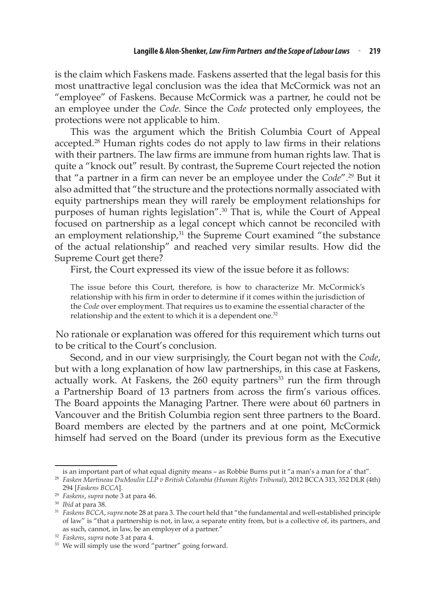is the claim which Faskens made. Faskens asserted that the legal basis for this most unattractive legal conclusion was the idea that McCormick was not an "employee" of Faskens. Because McCormick was a partner, he could not be an employee under the *Code*. Since the *Code* protected only employees, the protections were not applicable to him.

This was the argument which the British Columbia Court of Appeal accepted.<sup>28</sup> Human rights codes do not apply to law firms in their relations with their partners. The law firms are immune from human rights law. That is quite a "knock out" result. By contrast, the Supreme Court rejected the notion that "a partner in a firm can never be an employee under the *Code*".<sup>29</sup> But it also admitted that "the structure and the protections normally associated with equity partnerships mean they will rarely be employment relationships for purposes of human rights legislation".30 That is, while the Court of Appeal focused on partnership as a legal concept which cannot be reconciled with an employment relationship,<sup>31</sup> the Supreme Court examined "the substance of the actual relationship" and reached very similar results. How did the Supreme Court get there?

First, the Court expressed its view of the issue before it as follows:

The issue before this Court, therefore, is how to characterize Mr. McCormick's relationship with his firm in order to determine if it comes within the jurisdiction of the *Code* over employment. That requires us to examine the essential character of the relationship and the extent to which it is a dependent one.<sup>32</sup>

No rationale or explanation was offered for this requirement which turns out to be critical to the Court's conclusion.

Second, and in our view surprisingly, the Court began not with the *Code*, but with a long explanation of how law partnerships, in this case at Faskens, actually work. At Faskens, the  $260$  equity partners<sup>33</sup> run the firm through a Partnership Board of 13 partners from across the firm's various offices. The Board appoints the Managing Partner. There were about 60 partners in Vancouver and the British Columbia region sent three partners to the Board. Board members are elected by the partners and at one point, McCormick himself had served on the Board (under its previous form as the Executive

is an important part of what equal dignity means – as Robbie Burns put it "a man's a man for a' that". <sup>28</sup> *Fasken Martineau DuMoulin LLP v British Columbia (Human Rights Tribunal)*, 2012 BCCA 313, 352 DLR (4th)

<sup>294 [</sup>*Faskens BCCA*].

<sup>29</sup> *Faskens*, *supra* note 3 at para 46.

<sup>30</sup> *Ibid* at para 38.

<sup>31</sup> *Faskens BCCA*, *supra* note 28 at para 3. The court held that "the fundamental and well-established principle of law" is "that a partnership is not, in law, a separate entity from, but is a collective of, its partners, and as such, cannot, in law, be an employer of a partner."

<sup>&</sup>lt;sup>32</sup> Faskens, supra note 3 at para 4.<br><sup>33</sup> We will simply use the word "partner" going forward.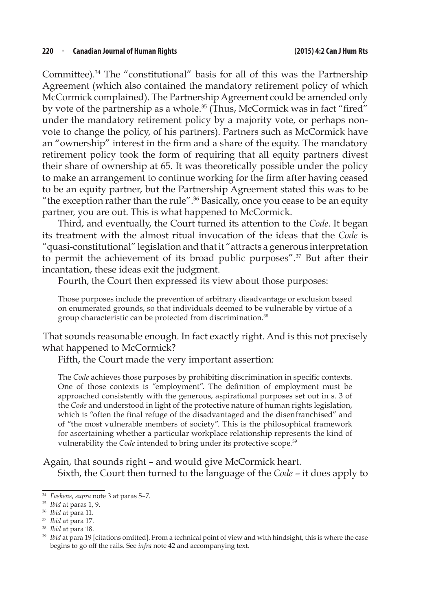Committee).34 The "constitutional" basis for all of this was the Partnership Agreement (which also contained the mandatory retirement policy of which McCormick complained). The Partnership Agreement could be amended only by vote of the partnership as a whole.<sup>35</sup> (Thus, McCormick was in fact "fired" under the mandatory retirement policy by a majority vote, or perhaps nonvote to change the policy, of his partners). Partners such as McCormick have an "ownership" interest in the firm and a share of the equity. The mandatory retirement policy took the form of requiring that all equity partners divest their share of ownership at 65. It was theoretically possible under the policy to make an arrangement to continue working for the firm after having ceased to be an equity partner, but the Partnership Agreement stated this was to be "the exception rather than the rule". $36$  Basically, once you cease to be an equity partner, you are out. This is what happened to McCormick.

Third, and eventually, the Court turned its attention to the *Code*. It began its treatment with the almost ritual invocation of the ideas that the *Code* is "quasi-constitutional" legislation and that it "attracts a generous interpretation to permit the achievement of its broad public purposes".37 But after their incantation, these ideas exit the judgment.

Fourth, the Court then expressed its view about those purposes:

Those purposes include the prevention of arbitrary disadvantage or exclusion based on enumerated grounds, so that individuals deemed to be vulnerable by virtue of a group characteristic can be protected from discrimination.<sup>38</sup>

That sounds reasonable enough. In fact exactly right. And is this not precisely what happened to McCormick?

Fifth, the Court made the very important assertion:

The *Code* achieves those purposes by prohibiting discrimination in specific contexts. One of those contexts is "employment". The definition of employment must be approached consistently with the generous, aspirational purposes set out in s. 3 of the *Code* and understood in light of the protective nature of human rights legislation, which is "often the final refuge of the disadvantaged and the disenfranchised" and of "the most vulnerable members of society". This is the philosophical framework for ascertaining whether a particular workplace relationship represents the kind of vulnerability the *Code* intended to bring under its protective scope.<sup>39</sup>

Again, that sounds right – and would give McCormick heart. Sixth, the Court then turned to the language of the *Code* – it does apply to

<sup>34</sup> *Faskens*, *supra* note 3 at paras 5–7.

<sup>35</sup> *Ibid* at paras 1, 9.

<sup>36</sup> *Ibid* at para 11.

<sup>37</sup> *Ibid* at para 17.

<sup>38</sup> *Ibid* at para 18.

<sup>&</sup>lt;sup>39</sup> *Ibid* at para 19 [citations omitted]. From a technical point of view and with hindsight, this is where the case begins to go off the rails. See *infra* note 42 and accompanying text.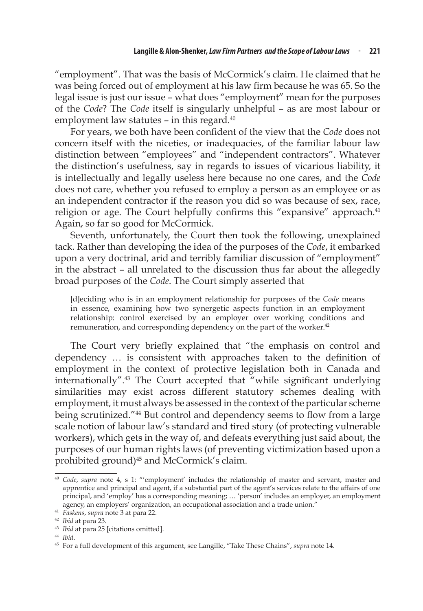"employment". That was the basis of McCormick's claim. He claimed that he was being forced out of employment at his law firm because he was 65. So the legal issue is just our issue – what does "employment" mean for the purposes of the *Code*? The *Code* itself is singularly unhelpful – as are most labour or employment law statutes - in this regard.<sup>40</sup>

For years, we both have been confident of the view that the *Code* does not concern itself with the niceties, or inadequacies, of the familiar labour law distinction between "employees" and "independent contractors". Whatever the distinction's usefulness, say in regards to issues of vicarious liability, it is intellectually and legally useless here because no one cares, and the *Code* does not care, whether you refused to employ a person as an employee or as an independent contractor if the reason you did so was because of sex, race, religion or age. The Court helpfully confirms this "expansive" approach.<sup>41</sup> Again, so far so good for McCormick.

Seventh, unfortunately, the Court then took the following, unexplained tack. Rather than developing the idea of the purposes of the *Code*, it embarked upon a very doctrinal, arid and terribly familiar discussion of "employment" in the abstract – all unrelated to the discussion thus far about the allegedly broad purposes of the *Code*. The Court simply asserted that

[d]eciding who is in an employment relationship for purposes of the *Code* means in essence, examining how two synergetic aspects function in an employment relationship: control exercised by an employer over working conditions and remuneration, and corresponding dependency on the part of the worker.<sup>42</sup>

The Court very briefly explained that "the emphasis on control and dependency … is consistent with approaches taken to the definition of employment in the context of protective legislation both in Canada and internationally".<sup>43</sup> The Court accepted that "while significant underlying similarities may exist across different statutory schemes dealing with employment, it must always be assessed in the context of the particular scheme being scrutinized."44 But control and dependency seems to flow from a large scale notion of labour law's standard and tired story (of protecting vulnerable workers), which gets in the way of, and defeats everything just said about, the purposes of our human rights laws (of preventing victimization based upon a prohibited ground)<sup>45</sup> and McCormick's claim.

<sup>40</sup> *Code*, *supra* note 4, s 1: "'employment' includes the relationship of master and servant, master and apprentice and principal and agent, if a substantial part of the agent's services relate to the affairs of one principal, and 'employ' has a corresponding meaning; … 'person' includes an employer, an employment agency, an employers' organization, an occupational association and a trade union."

<sup>41</sup> *Faskens*, *supra* note 3 at para 22.

<sup>42</sup> *Ibid* at para 23.

<sup>43</sup> *Ibid* at para 25 [citations omitted].

<sup>44</sup> *Ibid*.

<sup>45</sup> For a full development of this argument, see Langille, "Take These Chains", *supra* note 14.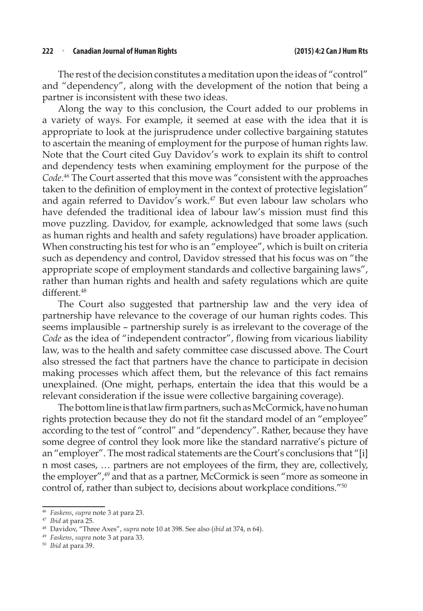#### **222** <sup>n</sup> **Canadian Journal of Human Rights (2015) 4:2 Can J Hum Rts**

The rest of the decision constitutes a meditation upon the ideas of "control" and "dependency", along with the development of the notion that being a partner is inconsistent with these two ideas.

Along the way to this conclusion, the Court added to our problems in a variety of ways. For example, it seemed at ease with the idea that it is appropriate to look at the jurisprudence under collective bargaining statutes to ascertain the meaning of employment for the purpose of human rights law. Note that the Court cited Guy Davidov's work to explain its shift to control and dependency tests when examining employment for the purpose of the *Code*. 46 The Court asserted that this move was "consistent with the approaches taken to the definition of employment in the context of protective legislation" and again referred to Davidov's work.<sup>47</sup> But even labour law scholars who have defended the traditional idea of labour law's mission must find this move puzzling. Davidov, for example, acknowledged that some laws (such as human rights and health and safety regulations) have broader application. When constructing his test for who is an "employee", which is built on criteria such as dependency and control, Davidov stressed that his focus was on "the appropriate scope of employment standards and collective bargaining laws", rather than human rights and health and safety regulations which are quite different.<sup>48</sup>

The Court also suggested that partnership law and the very idea of partnership have relevance to the coverage of our human rights codes. This seems implausible – partnership surely is as irrelevant to the coverage of the *Code* as the idea of "independent contractor", flowing from vicarious liability law, was to the health and safety committee case discussed above. The Court also stressed the fact that partners have the chance to participate in decision making processes which affect them, but the relevance of this fact remains unexplained. (One might, perhaps, entertain the idea that this would be a relevant consideration if the issue were collective bargaining coverage).

The bottom line is that law firm partners, such as McCormick, have no human rights protection because they do not fit the standard model of an "employee" according to the test of "control" and "dependency". Rather, because they have some degree of control they look more like the standard narrative's picture of an "employer". The most radical statements are the Court's conclusions that "[i] n most cases, … partners are not employees of the firm, they are, collectively, the employer",<sup>49</sup> and that as a partner, McCormick is seen "more as someone in control of, rather than subject to, decisions about workplace conditions."50

<sup>46</sup> *Faskens*, *supra* note 3 at para 23.

<sup>47</sup> *Ibid* at para 25.

<sup>48</sup> Davidov, "Three Axes", *supra* note 10 at 398. See also (*ibid* at 374, n 64).

<sup>49</sup> *Faskens*, *supra* note 3 at para 33.

<sup>50</sup> *Ibid* at para 39.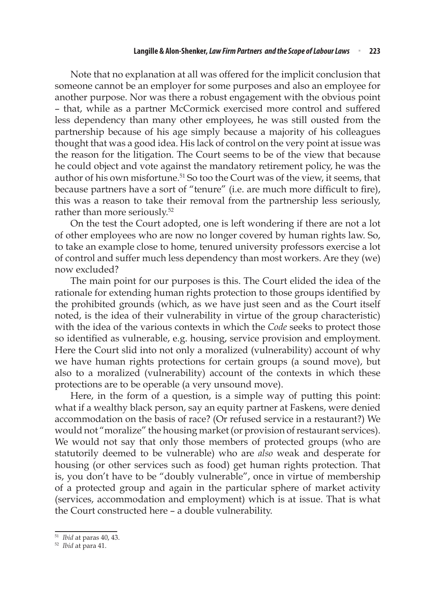Note that no explanation at all was offered for the implicit conclusion that someone cannot be an employer for some purposes and also an employee for another purpose. Nor was there a robust engagement with the obvious point – that, while as a partner McCormick exercised more control and suffered less dependency than many other employees, he was still ousted from the partnership because of his age simply because a majority of his colleagues thought that was a good idea. His lack of control on the very point at issue was the reason for the litigation. The Court seems to be of the view that because he could object and vote against the mandatory retirement policy, he was the author of his own misfortune.<sup>51</sup> So too the Court was of the view, it seems, that because partners have a sort of "tenure" (i.e. are much more difficult to fire), this was a reason to take their removal from the partnership less seriously, rather than more seriously.<sup>52</sup>

On the test the Court adopted, one is left wondering if there are not a lot of other employees who are now no longer covered by human rights law. So, to take an example close to home, tenured university professors exercise a lot of control and suffer much less dependency than most workers. Are they (we) now excluded?

The main point for our purposes is this. The Court elided the idea of the rationale for extending human rights protection to those groups identified by the prohibited grounds (which, as we have just seen and as the Court itself noted, is the idea of their vulnerability in virtue of the group characteristic) with the idea of the various contexts in which the *Code* seeks to protect those so identified as vulnerable, e.g. housing, service provision and employment. Here the Court slid into not only a moralized (vulnerability) account of why we have human rights protections for certain groups (a sound move), but also to a moralized (vulnerability) account of the contexts in which these protections are to be operable (a very unsound move).

Here, in the form of a question, is a simple way of putting this point: what if a wealthy black person, say an equity partner at Faskens, were denied accommodation on the basis of race? (Or refused service in a restaurant?) We would not "moralize" the housing market (or provision of restaurant services). We would not say that only those members of protected groups (who are statutorily deemed to be vulnerable) who are *also* weak and desperate for housing (or other services such as food) get human rights protection. That is, you don't have to be "doubly vulnerable", once in virtue of membership of a protected group and again in the particular sphere of market activity (services, accommodation and employment) which is at issue. That is what the Court constructed here – a double vulnerability.

<sup>51</sup> *Ibid* at paras 40, 43.

<sup>52</sup> *Ibid* at para 41.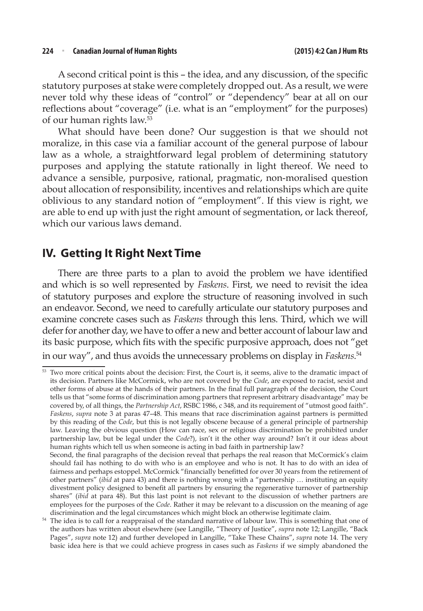A second critical point is this – the idea, and any discussion, of the specific statutory purposes at stake were completely dropped out. As a result, we were never told why these ideas of "control" or "dependency" bear at all on our reflections about "coverage" (i.e. what is an "employment" for the purposes) of our human rights law.53

What should have been done? Our suggestion is that we should not moralize, in this case via a familiar account of the general purpose of labour law as a whole, a straightforward legal problem of determining statutory purposes and applying the statute rationally in light thereof. We need to advance a sensible, purposive, rational, pragmatic, non-moralised question about allocation of responsibility, incentives and relationships which are quite oblivious to any standard notion of "employment". If this view is right, we are able to end up with just the right amount of segmentation, or lack thereof, which our various laws demand.

#### **IV. Getting It Right Next Time**

There are three parts to a plan to avoid the problem we have identified and which is so well represented by *Faskens*. First, we need to revisit the idea of statutory purposes and explore the structure of reasoning involved in such an endeavor. Second, we need to carefully articulate our statutory purposes and examine concrete cases such as *Faskens* through this lens. Third, which we will defer for another day, we have to offer a new and better account of labour law and its basic purpose, which fits with the specific purposive approach, does not "get in our way", and thus avoids the unnecessary problems on display in *Faskens*. 54

<sup>&</sup>lt;sup>53</sup> Two more critical points about the decision: First, the Court is, it seems, alive to the dramatic impact of its decision. Partners like McCormick, who are not covered by the *Code*, are exposed to racist, sexist and other forms of abuse at the hands of their partners. In the final full paragraph of the decision, the Court tells us that "some forms of discrimination among partners that represent arbitrary disadvantage" may be covered by, of all things, the *Partnership Act*, RSBC 1986, c 348, and its requirement of "utmost good faith". *Faskens*, *supra* note 3 at paras 47–48. This means that race discrimination against partners is permitted by this reading of the *Code*, but this is not legally obscene because of a general principle of partnership law. Leaving the obvious question (How can race, sex or religious discrimination be prohibited under partnership law, but be legal under the *Code*?), isn't it the other way around? Isn't it our ideas about human rights which tell us when someone is acting in bad faith in partnership law? Second, the final paragraphs of the decision reveal that perhaps the real reason that McCormick's claim

should fail has nothing to do with who is an employee and who is not. It has to do with an idea of fairness and perhaps estoppel. McCormick "financially benefitted for over 30 years from the retirement of other partners" (*ibid* at para 43) and there is nothing wrong with a "partnership … instituting an equity divestment policy designed to benefit all partners by ensuring the regenerative turnover of partnership shares" (*ibid* at para 48). But this last point is not relevant to the discussion of whether partners are employees for the purposes of the *Code*. Rather it may be relevant to a discussion on the meaning of age discrimination and the legal circumstances which might block an otherwise legitimate claim.

<sup>54</sup> The idea is to call for a reappraisal of the standard narrative of labour law. This is something that one of the authors has written about elsewhere (see Langille, "Theory of Justice", *supra* note 12; Langille, "Back Pages", *supra* note 12) and further developed in Langille, "Take These Chains", *supra* note 14. The very basic idea here is that we could achieve progress in cases such as *Faskens* if we simply abandoned the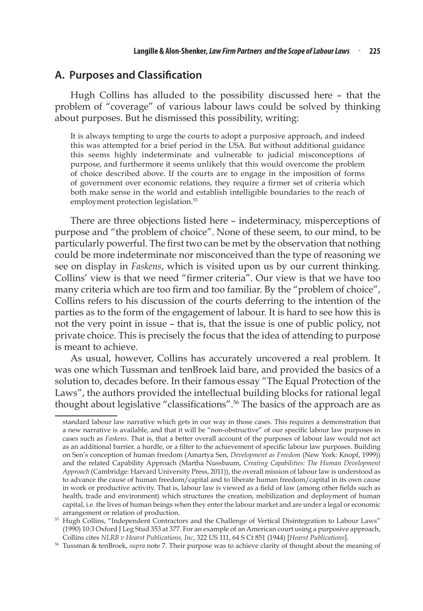#### **A. Purposes and Classification**

Hugh Collins has alluded to the possibility discussed here – that the problem of "coverage" of various labour laws could be solved by thinking about purposes. But he dismissed this possibility, writing:

It is always tempting to urge the courts to adopt a purposive approach, and indeed this was attempted for a brief period in the USA. But without additional guidance this seems highly indeterminate and vulnerable to judicial misconceptions of purpose, and furthermore it seems unlikely that this would overcome the problem of choice described above. If the courts are to engage in the imposition of forms of government over economic relations, they require a firmer set of criteria which both make sense in the world and establish intelligible boundaries to the reach of employment protection legislation.<sup>55</sup>

There are three objections listed here – indeterminacy, misperceptions of purpose and "the problem of choice". None of these seem, to our mind, to be particularly powerful. The first two can be met by the observation that nothing could be more indeterminate nor misconceived than the type of reasoning we see on display in *Faskens*, which is visited upon us by our current thinking. Collins' view is that we need "firmer criteria". Our view is that we have too many criteria which are too firm and too familiar. By the "problem of choice", Collins refers to his discussion of the courts deferring to the intention of the parties as to the form of the engagement of labour. It is hard to see how this is not the very point in issue – that is, that the issue is one of public policy, not private choice. This is precisely the focus that the idea of attending to purpose is meant to achieve.

As usual, however, Collins has accurately uncovered a real problem. It was one which Tussman and tenBroek laid bare, and provided the basics of a solution to, decades before. In their famous essay "The Equal Protection of the Laws", the authors provided the intellectual building blocks for rational legal thought about legislative "classifications".<sup>56</sup> The basics of the approach are as

standard labour law narrative which gets in our way in those cases. This requires a demonstration that a new narrative is available, and that it will be "non-obstructive" of our specific labour law purposes in cases such as *Faskens*. That is, that a better overall account of the purposes of labour law would not act as an additional barrier, a hurdle, or a filter to the achievement of specific labour law purposes. Building on Sen's conception of human freedom (Amartya Sen, *Development as Freedom* (New York: Knopf, 1999)) and the related Capability Approach (Martha Nussbaum, *Creating Capabilities: The Human Development Approach* (Cambridge: Harvard University Press, 2011)), the overall mission of labour law is understood as to advance the cause of human freedom/capital and to liberate human freedom/capital in its own cause in work or productive activity. That is, labour law is viewed as a field of law (among other fields such as health, trade and environment) which structures the creation, mobilization and deployment of human capital, i.e. the lives of human beings when they enter the labour market and are under a legal or economic arrangement or relation of production.

<sup>55</sup> Hugh Collins, "Independent Contractors and the Challenge of Vertical Disintegration to Labour Laws" (1990) 10:3 Oxford J Leg Stud 353 at 377. For an example of an American court using a purposive approach, Collins cites *NLRB v Hearst Publications, Inc*, 322 US 111, 64 S Ct 851 (1944) [*Hearst Publications*].

<sup>56</sup> Tussman & tenBroek, *supra* note 7. Their purpose was to achieve clarity of thought about the meaning of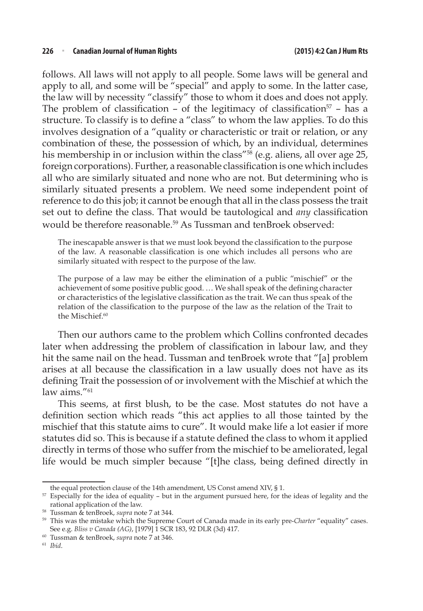follows. All laws will not apply to all people. Some laws will be general and apply to all, and some will be "special" and apply to some. In the latter case, the law will by necessity "classify" those to whom it does and does not apply. The problem of classification – of the legitimacy of classification<sup>57</sup> – has a structure. To classify is to define a "class" to whom the law applies. To do this involves designation of a "quality or characteristic or trait or relation, or any combination of these, the possession of which, by an individual, determines his membership in or inclusion within the class"<sup>58</sup> (e.g. aliens, all over age 25, foreign corporations). Further, a reasonable classification is one which includes all who are similarly situated and none who are not. But determining who is similarly situated presents a problem. We need some independent point of reference to do this job; it cannot be enough that all in the class possess the trait set out to define the class. That would be tautological and *any* classification would be therefore reasonable.<sup>59</sup> As Tussman and tenBroek observed:

The inescapable answer is that we must look beyond the classification to the purpose of the law. A reasonable classification is one which includes all persons who are similarly situated with respect to the purpose of the law.

The purpose of a law may be either the elimination of a public "mischief" or the achievement of some positive public good. … We shall speak of the defining character or characteristics of the legislative classification as the trait. We can thus speak of the relation of the classification to the purpose of the law as the relation of the Trait to the Mischief.<sup>60</sup>

Then our authors came to the problem which Collins confronted decades later when addressing the problem of classification in labour law, and they hit the same nail on the head. Tussman and tenBroek wrote that "[a] problem arises at all because the classification in a law usually does not have as its defining Trait the possession of or involvement with the Mischief at which the law aims."<sup>61</sup>

This seems, at first blush, to be the case. Most statutes do not have a definition section which reads "this act applies to all those tainted by the mischief that this statute aims to cure". It would make life a lot easier if more statutes did so. This is because if a statute defined the class to whom it applied directly in terms of those who suffer from the mischief to be ameliorated, legal life would be much simpler because "[t]he class, being defined directly in

the equal protection clause of the 14th amendment, US Const amend XIV, § 1.  $57$  Especially for the idea of equality – but in the argument pursued here, for the ideas of legality and the rational application of the law.

<sup>58</sup> Tussman & tenBroek, *supra* note 7 at 344.

<sup>59</sup> This was the mistake which the Supreme Court of Canada made in its early pre-*Charter* "equality" cases. See e.g. *Bliss v Canada (AG)*, [1979] 1 SCR 183, 92 DLR (3d) 417.

<sup>60</sup> Tussman & tenBroek, *supra* note 7 at 346.

<sup>61</sup> *Ibid*.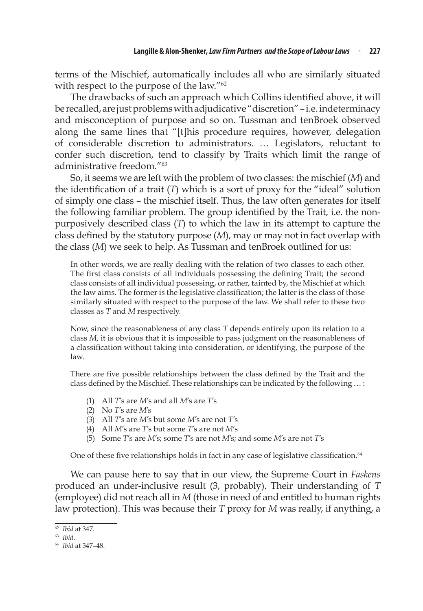terms of the Mischief, automatically includes all who are similarly situated with respect to the purpose of the law."<sup>62</sup>

The drawbacks of such an approach which Collins identified above, it will be recalled, are just problems with adjudicative "discretion" – i.e. indeterminacy and misconception of purpose and so on. Tussman and tenBroek observed along the same lines that "[t]his procedure requires, however, delegation of considerable discretion to administrators. … Legislators, reluctant to confer such discretion, tend to classify by Traits which limit the range of administrative freedom "63

So, it seems we are left with the problem of two classes: the mischief (*M*) and the identification of a trait (*T*) which is a sort of proxy for the "ideal" solution of simply one class – the mischief itself. Thus, the law often generates for itself the following familiar problem. The group identified by the Trait, i.e. the nonpurposively described class (*T*) to which the law in its attempt to capture the class defined by the statutory purpose (*M*), may or may not in fact overlap with the class (*M*) we seek to help. As Tussman and tenBroek outlined for us:

In other words, we are really dealing with the relation of two classes to each other. The first class consists of all individuals possessing the defining Trait; the second class consists of all individual possessing, or rather, tainted by, the Mischief at which the law aims. The former is the legislative classification; the latter is the class of those similarly situated with respect to the purpose of the law. We shall refer to these two classes as *T* and *M* respectively.

Now, since the reasonableness of any class *T* depends entirely upon its relation to a class *M*, it is obvious that it is impossible to pass judgment on the reasonableness of a classification without taking into consideration, or identifying, the purpose of the law.

There are five possible relationships between the class defined by the Trait and the class defined by the Mischief. These relationships can be indicated by the following … :

- (1) All *T*'s are *M*'s and all *M*'s are *T*'s
- (2) No *T*'s are *M*'s
- (3) All *T*'s are *M*'s but some *M*'s are not *T*'s
- (4) All *M*'s are *T*'s but some *T*'s are not *M*'s
- (5) Some *T*'s are *M*'s; some *T*'s are not *M*'s; and some *M*'s are not *T*'s

One of these five relationships holds in fact in any case of legislative classification.<sup>64</sup>

We can pause here to say that in our view, the Supreme Court in *Faskens* produced an under-inclusive result (3, probably). Their understanding of *T* (employee) did not reach all in *M* (those in need of and entitled to human rights law protection). This was because their *T* proxy for *M* was really, if anything, a

<sup>62</sup> *Ibid* at 347.

<sup>63</sup> *Ibid*.

<sup>64</sup> *Ibid* at 347–48.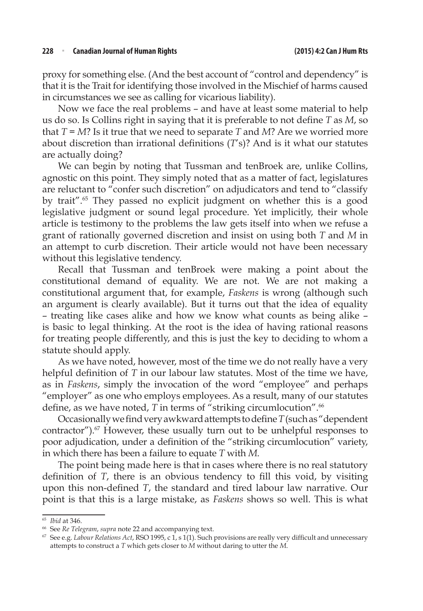proxy for something else. (And the best account of "control and dependency" is that it is the Trait for identifying those involved in the Mischief of harms caused in circumstances we see as calling for vicarious liability).

Now we face the real problems – and have at least some material to help us do so. Is Collins right in saying that it is preferable to not define *T* as *M*, so that *T* = *M*? Is it true that we need to separate *T* and *M*? Are we worried more about discretion than irrational definitions (*T*'s)? And is it what our statutes are actually doing?

We can begin by noting that Tussman and tenBroek are, unlike Collins, agnostic on this point. They simply noted that as a matter of fact, legislatures are reluctant to "confer such discretion" on adjudicators and tend to "classify by trait".65 They passed no explicit judgment on whether this is a good legislative judgment or sound legal procedure. Yet implicitly, their whole article is testimony to the problems the law gets itself into when we refuse a grant of rationally governed discretion and insist on using both *T* and *M* in an attempt to curb discretion. Their article would not have been necessary without this legislative tendency.

Recall that Tussman and tenBroek were making a point about the constitutional demand of equality. We are not. We are not making a constitutional argument that, for example, *Faskens* is wrong (although such an argument is clearly available). But it turns out that the idea of equality – treating like cases alike and how we know what counts as being alike – is basic to legal thinking. At the root is the idea of having rational reasons for treating people differently, and this is just the key to deciding to whom a statute should apply.

As we have noted, however, most of the time we do not really have a very helpful definition of *T* in our labour law statutes. Most of the time we have, as in *Faskens*, simply the invocation of the word "employee" and perhaps "employer" as one who employs employees. As a result, many of our statutes define, as we have noted, *T* in terms of "striking circumlocution".<sup>66</sup>

Occasionally we find very awkward attempts to define *T* (such as "dependent contractor").67 However, these usually turn out to be unhelpful responses to poor adjudication, under a definition of the "striking circumlocution" variety, in which there has been a failure to equate *T* with *M*.

The point being made here is that in cases where there is no real statutory definition of *T*, there is an obvious tendency to fill this void, by visiting upon this non-defined *T*, the standard and tired labour law narrative. Our point is that this is a large mistake, as *Faskens* shows so well. This is what

<sup>65</sup> *Ibid* at 346.

<sup>66</sup> See *Re Telegram*, *supra* note 22 and accompanying text.

<sup>67</sup> See e.g. *Labour Relations Act*, RSO 1995, c 1, s 1(1). Such provisions are really very difficult and unnecessary attempts to construct a *T* which gets closer to *M* without daring to utter the *M*.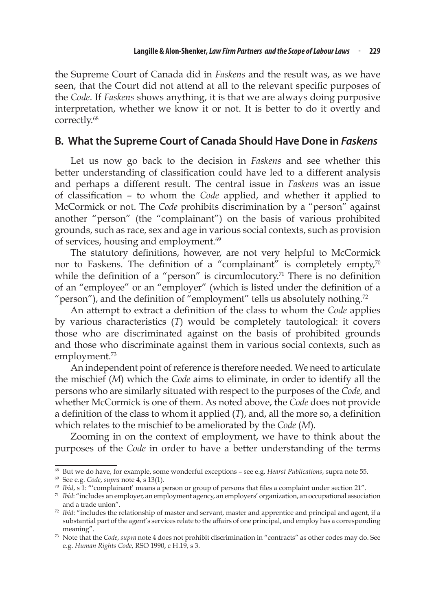the Supreme Court of Canada did in *Faskens* and the result was, as we have seen, that the Court did not attend at all to the relevant specific purposes of the *Code*. If *Faskens* shows anything, it is that we are always doing purposive interpretation, whether we know it or not. It is better to do it overtly and correctly.68

#### **B. What the Supreme Court of Canada Should Have Done in** *Faskens*

Let us now go back to the decision in *Faskens* and see whether this better understanding of classification could have led to a different analysis and perhaps a different result. The central issue in *Faskens* was an issue of classification – to whom the *Code* applied, and whether it applied to McCormick or not. The *Code* prohibits discrimination by a "person" against another "person" (the "complainant") on the basis of various prohibited grounds, such as race, sex and age in various social contexts, such as provision of services, housing and employment.<sup>69</sup>

The statutory definitions, however, are not very helpful to McCormick nor to Faskens. The definition of a "complainant" is completely empty, $\sqrt{10}$ while the definition of a "person" is circumlocutory.<sup>71</sup> There is no definition of an "employee" or an "employer" (which is listed under the definition of a "person"), and the definition of "employment" tells us absolutely nothing.<sup>72</sup>

An attempt to extract a definition of the class to whom the *Code* applies by various characteristics (*T*) would be completely tautological: it covers those who are discriminated against on the basis of prohibited grounds and those who discriminate against them in various social contexts, such as employment.<sup>73</sup>

An independent point of reference is therefore needed. We need to articulate the mischief (*M*) which the *Code* aims to eliminate, in order to identify all the persons who are similarly situated with respect to the purposes of the *Code*, and whether McCormick is one of them. As noted above, the *Code* does not provide a definition of the class to whom it applied (*T*), and, all the more so, a definition which relates to the mischief to be ameliorated by the *Code* (*M*).

Zooming in on the context of employment, we have to think about the purposes of the *Code* in order to have a better understanding of the terms

<sup>68</sup> But we do have, for example, some wonderful exceptions – see e.g. *Hearst Publications*, supra note 55.

<sup>69</sup> See e.g. *Code*, *supra* note 4, s 13(1).

<sup>70</sup> *Ibid*, s 1: "'complainant' means a person or group of persons that files a complaint under section 21".

<sup>71</sup> *Ibid*: "includes an employer, an employment agency, an employers' organization, an occupational association and a trade union".

<sup>72</sup> *Ibid*: "includes the relationship of master and servant, master and apprentice and principal and agent, if a substantial part of the agent's services relate to the affairs of one principal, and employ has a corresponding meaning".

<sup>73</sup> Note that the *Code*, *supra* note 4 does not prohibit discrimination in "contracts" as other codes may do. See e.g. *Human Rights Code*, RSO 1990, c H.19, s 3.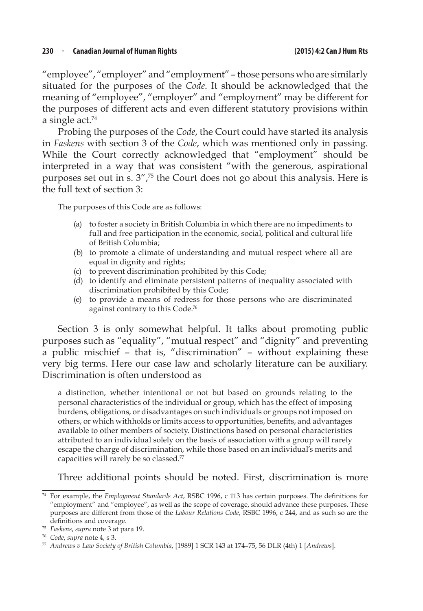"employee", "employer" and "employment" – those persons who are similarly situated for the purposes of the *Code*. It should be acknowledged that the meaning of "employee", "employer" and "employment" may be different for the purposes of different acts and even different statutory provisions within a single  $act.^{74}$ 

Probing the purposes of the *Code*, the Court could have started its analysis in *Faskens* with section 3 of the *Code*, which was mentioned only in passing. While the Court correctly acknowledged that "employment" should be interpreted in a way that was consistent "with the generous, aspirational purposes set out in s.  $3''$ ,<sup>75</sup> the Court does not go about this analysis. Here is the full text of section 3:

The purposes of this Code are as follows:

- (a) to foster a society in British Columbia in which there are no impediments to full and free participation in the economic, social, political and cultural life of British Columbia;
- (b) to promote a climate of understanding and mutual respect where all are equal in dignity and rights;
- (c) to prevent discrimination prohibited by this Code;
- (d) to identify and eliminate persistent patterns of inequality associated with discrimination prohibited by this Code;
- (e) to provide a means of redress for those persons who are discriminated against contrary to this Code.76

Section 3 is only somewhat helpful. It talks about promoting public purposes such as "equality", "mutual respect" and "dignity" and preventing a public mischief – that is, "discrimination" – without explaining these very big terms. Here our case law and scholarly literature can be auxiliary. Discrimination is often understood as

a distinction, whether intentional or not but based on grounds relating to the personal characteristics of the individual or group, which has the effect of imposing burdens, obligations, or disadvantages on such individuals or groups not imposed on others, or which withholds or limits access to opportunities, benefits, and advantages available to other members of society. Distinctions based on personal characteristics attributed to an individual solely on the basis of association with a group will rarely escape the charge of discrimination, while those based on an individual's merits and capacities will rarely be so classed.<sup>77</sup>

Three additional points should be noted. First, discrimination is more

<sup>74</sup> For example, the *Employment Standards Act*, RSBC 1996, c 113 has certain purposes. The definitions for "employment" and "employee", as well as the scope of coverage, should advance these purposes. These purposes are different from those of the *Labour Relations Code*, RSBC 1996, c 244, and as such so are the definitions and coverage.

<sup>75</sup> *Faskens*, *supra* note 3 at para 19.

<sup>76</sup> *Code*, *supra* note 4, s 3.

<sup>77</sup> *Andrews v Law Society of British Columbia*, [1989] 1 SCR 143 at 174–75, 56 DLR (4th) 1 [*Andrews*].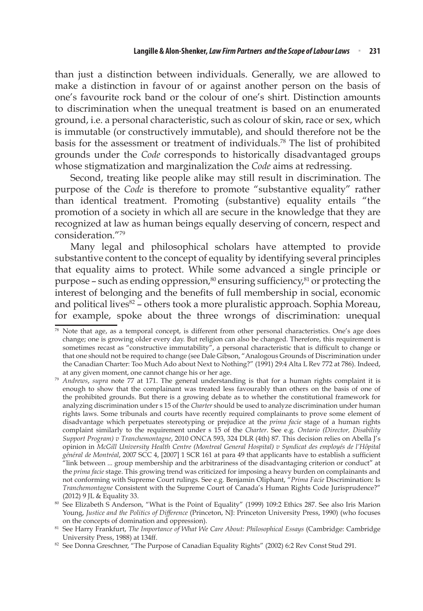than just a distinction between individuals. Generally, we are allowed to make a distinction in favour of or against another person on the basis of one's favourite rock band or the colour of one's shirt. Distinction amounts to discrimination when the unequal treatment is based on an enumerated ground, i.e. a personal characteristic, such as colour of skin, race or sex, which is immutable (or constructively immutable), and should therefore not be the basis for the assessment or treatment of individuals.78 The list of prohibited grounds under the *Code* corresponds to historically disadvantaged groups whose stigmatization and marginalization the *Code* aims at redressing.

Second, treating like people alike may still result in discrimination. The purpose of the *Code* is therefore to promote "substantive equality" rather than identical treatment. Promoting (substantive) equality entails "the promotion of a society in which all are secure in the knowledge that they are recognized at law as human beings equally deserving of concern, respect and consideration."79

Many legal and philosophical scholars have attempted to provide substantive content to the concept of equality by identifying several principles that equality aims to protect. While some advanced a single principle or purpose – such as ending oppression, $80$  ensuring sufficiency, $81$  or protecting the interest of belonging and the benefits of full membership in social, economic and political lives<sup>82</sup> – others took a more pluralistic approach. Sophia Moreau, for example, spoke about the three wrongs of discrimination: unequal

<sup>78</sup> Note that age, as a temporal concept, is different from other personal characteristics. One's age does change; one is growing older every day. But religion can also be changed. Therefore, this requirement is sometimes recast as "constructive immutability", a personal characteristic that is difficult to change or that one should not be required to change (see Dale Gibson, "Analogous Grounds of Discrimination under the Canadian Charter: Too Much Ado about Next to Nothing?" (1991) 29:4 Alta L Rev 772 at 786). Indeed, at any given moment, one cannot change his or her age.

<sup>79</sup> *Andrews*, *supra* note 77 at 171. The general understanding is that for a human rights complaint it is enough to show that the complainant was treated less favourably than others on the basis of one of the prohibited grounds. But there is a growing debate as to whether the constitutional framework for analyzing discrimination under s 15 of the *Charter* should be used to analyze discrimination under human rights laws. Some tribunals and courts have recently required complainants to prove some element of disadvantage which perpetuates stereotyping or prejudice at the *prima facie* stage of a human rights complaint similarly to the requirement under s 15 of the *Charter*. See e.g. *Ontario (Director, Disability Support Program) v Tranchemontagne*, 2010 ONCA 593, 324 DLR (4th) 87. This decision relies on Abella J's opinion in *McGill University Health Centre (Montreal General Hospital) v Syndicat des employés de l'Hôpital général de Montréal*, 2007 SCC 4, [2007] 1 SCR 161 at para 49 that applicants have to establish a sufficient "link between ... group membership and the arbitrariness of the disadvantaging criterion or conduct" at the *prima facie* stage. This growing trend was criticized for imposing a heavy burden on complainants and not conforming with Supreme Court rulings. See e.g. Benjamin Oliphant, "*Prima Facie* Discrimination: Is *Tranchemontagne* Consistent with the Supreme Court of Canada's Human Rights Code Jurisprudence?" (2012) 9 JL & Equality 33.

<sup>80</sup> See Elizabeth S Anderson, "What is the Point of Equality" (1999) 109:2 Ethics 287. See also Iris Marion Young, *Justice and the Politics of Difference* (Princeton, NJ: Princeton University Press, 1990) (who focuses on the concepts of domination and oppression).

<sup>81</sup> See Harry Frankfurt, *The Importance of What We Care About: Philosophical Essays* (Cambridge: Cambridge University Press, 1988) at 134ff.

<sup>82</sup> See Donna Greschner, "The Purpose of Canadian Equality Rights" (2002) 6:2 Rev Const Stud 291.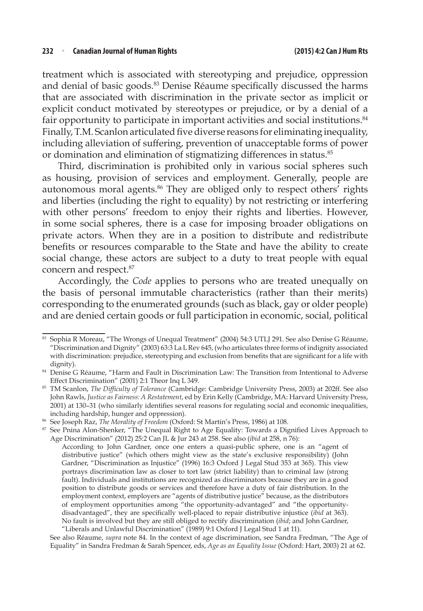treatment which is associated with stereotyping and prejudice, oppression and denial of basic goods.83 Denise Réaume specifically discussed the harms that are associated with discrimination in the private sector as implicit or explicit conduct motivated by stereotypes or prejudice, or by a denial of a fair opportunity to participate in important activities and social institutions.<sup>84</sup> Finally, T.M. Scanlon articulated five diverse reasons for eliminating inequality, including alleviation of suffering, prevention of unacceptable forms of power or domination and elimination of stigmatizing differences in status.<sup>85</sup>

Third, discrimination is prohibited only in various social spheres such as housing, provision of services and employment. Generally, people are autonomous moral agents.<sup>86</sup> They are obliged only to respect others<sup>'</sup> rights and liberties (including the right to equality) by not restricting or interfering with other persons' freedom to enjoy their rights and liberties. However, in some social spheres, there is a case for imposing broader obligations on private actors. When they are in a position to distribute and redistribute benefits or resources comparable to the State and have the ability to create social change, these actors are subject to a duty to treat people with equal concern and respect.<sup>87</sup>

Accordingly, the *Code* applies to persons who are treated unequally on the basis of personal immutable characteristics (rather than their merits) corresponding to the enumerated grounds (such as black, gay or older people) and are denied certain goods or full participation in economic, social, political

See also Réaume, *supra* note 84. In the context of age discrimination, see Sandra Fredman, "The Age of Equality" in Sandra Fredman & Sarah Spencer, eds, *Age as an Equality Issue* (Oxford: Hart, 2003) 21 at 62.

<sup>83</sup> Sophia R Moreau, "The Wrongs of Unequal Treatment" (2004) 54:3 UTLJ 291. See also Denise G Réaume, "Discrimination and Dignity" (2003) 63:3 La L Rev 645, (who articulates three forms of indignity associated with discrimination: prejudice, stereotyping and exclusion from benefits that are significant for a life with dignity).

<sup>84</sup> Denise G Réaume, "Harm and Fault in Discrimination Law: The Transition from Intentional to Adverse Effect Discrimination" (2001) 2:1 Theor Inq L 349.

<sup>85</sup> TM Scanlon, *The Difficulty of Tolerance* (Cambridge: Cambridge University Press, 2003) at 202ff. See also John Rawls, *Justice as Fairness: A Restatement*, ed by Erin Kelly (Cambridge, MA: Harvard University Press, 2001) at 130–31 (who similarly identifies several reasons for regulating social and economic inequalities, including hardship, hunger and oppression).

<sup>86</sup> See Joseph Raz, *The Morality of Freedom* (Oxford: St Martin's Press, 1986) at 108.

<sup>&</sup>lt;sup>87</sup> See Pnina Alon-Shenker, "The Unequal Right to Age Equality: Towards a Dignified Lives Approach to Age Discrimination" (2012) 25:2 Can JL & Jur 243 at 258. See also (*ibid* at 258, n 76):

According to John Gardner, once one enters a quasi-public sphere, one is an "agent of distributive justice" (which others might view as the state's exclusive responsibility) (John Gardner, "Discrimination as Injustice" (1996) 16:3 Oxford J Legal Stud 353 at 365). This view portrays discrimination law as closer to tort law (strict liability) than to criminal law (strong fault). Individuals and institutions are recognized as discriminators because they are in a good position to distribute goods or services and therefore have a duty of fair distribution. In the employment context, employers are "agents of distributive justice" because, as the distributors of employment opportunities among "the opportunity-advantaged" and "the opportunitydisadvantaged", they are specifically well-placed to repair distributive injustice (*ibid* at 363). No fault is involved but they are still obliged to rectify discrimination (*ibid*; and John Gardner, "Liberals and Unlawful Discrimination" (1989) 9:1 Oxford J Legal Stud 1 at 11).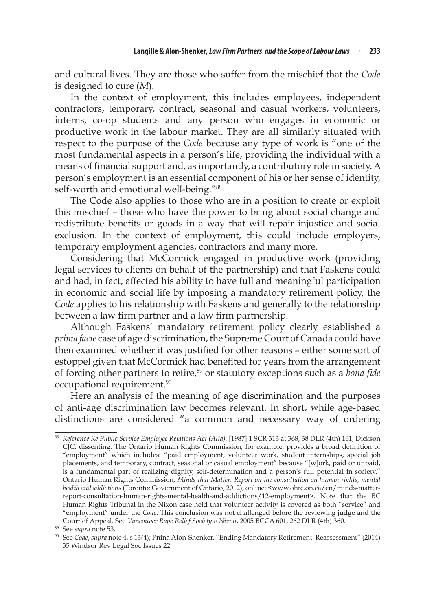and cultural lives. They are those who suffer from the mischief that the *Code* is designed to cure (*M*).

In the context of employment, this includes employees, independent contractors, temporary, contract, seasonal and casual workers, volunteers, interns, co-op students and any person who engages in economic or productive work in the labour market. They are all similarly situated with respect to the purpose of the *Code* because any type of work is "one of the most fundamental aspects in a person's life, providing the individual with a means of financial support and, as importantly, a contributory role in society. A person's employment is an essential component of his or her sense of identity, self-worth and emotional well-being."<sup>88</sup>

The Code also applies to those who are in a position to create or exploit this mischief – those who have the power to bring about social change and redistribute benefits or goods in a way that will repair injustice and social exclusion. In the context of employment, this could include employers, temporary employment agencies, contractors and many more.

Considering that McCormick engaged in productive work (providing legal services to clients on behalf of the partnership) and that Faskens could and had, in fact, affected his ability to have full and meaningful participation in economic and social life by imposing a mandatory retirement policy, the *Code* applies to his relationship with Faskens and generally to the relationship between a law firm partner and a law firm partnership.

Although Faskens' mandatory retirement policy clearly established a *prima facie* case of age discrimination, the Supreme Court of Canada could have then examined whether it was justified for other reasons – either some sort of estoppel given that McCormick had benefited for years from the arrangement of forcing other partners to retire,<sup>89</sup> or statutory exceptions such as a *bona fide* occupational requirement.<sup>90</sup>

Here an analysis of the meaning of age discrimination and the purposes of anti-age discrimination law becomes relevant. In short, while age-based distinctions are considered "a common and necessary way of ordering

<sup>88</sup> *Reference Re Public Service Employee Relations Act (Alta)*, [1987] 1 SCR 313 at 368, 38 DLR (4th) 161, Dickson CJC, dissenting. The Ontario Human Rights Commission, for example, provides a broad definition of "employment" which includes: "paid employment, volunteer work, student internships, special job placements, and temporary, contract, seasonal or casual employment" because "[w]ork, paid or unpaid, is a fundamental part of realizing dignity, self-determination and a person's full potential in society." Ontario Human Rights Commission, *Minds that Matter: Report on the consultation on human rights, mental health and addictions* (Toronto: Government of Ontario, 2012), online: <www.ohrc.on.ca/en/minds-matterreport-consultation-human-rights-mental-health-and-addictions/12-employment>. Note that the BC Human Rights Tribunal in the Nixon case held that volunteer activity is covered as both "service" and "employment" under the *Code*. This conclusion was not challenged before the reviewing judge and the Court of Appeal. See *Vancouver Rape Relief Society v Nixon*, 2005 BCCA 601, 262 DLR (4th) 360.

<sup>89</sup> See *supra* note 53.

<sup>90</sup> See *Code*, *supra* note 4, s 13(4); Pnina Alon-Shenker, "Ending Mandatory Retirement: Reassessment" (2014) 35 Windsor Rev Legal Soc Issues 22.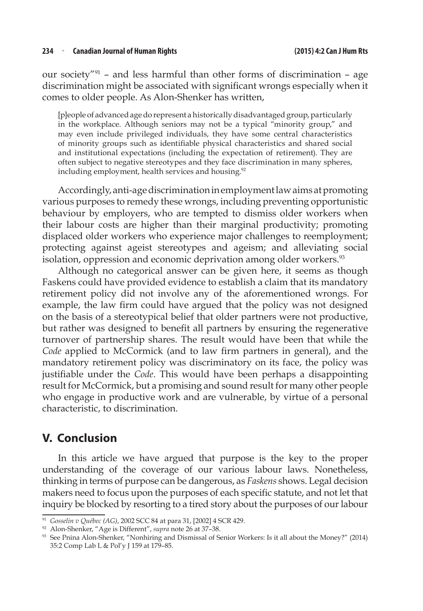our society"91 – and less harmful than other forms of discrimination – age discrimination might be associated with significant wrongs especially when it comes to older people. As Alon-Shenker has written,

[p]eople of advanced age do represent a historically disadvantaged group, particularly in the workplace. Although seniors may not be a typical "minority group," and may even include privileged individuals, they have some central characteristics of minority groups such as identifiable physical characteristics and shared social and institutional expectations (including the expectation of retirement). They are often subject to negative stereotypes and they face discrimination in many spheres, including employment, health services and housing.<sup>92</sup>

Accordingly, anti-age discrimination in employment law aims at promoting various purposes to remedy these wrongs, including preventing opportunistic behaviour by employers, who are tempted to dismiss older workers when their labour costs are higher than their marginal productivity; promoting displaced older workers who experience major challenges to reemployment; protecting against ageist stereotypes and ageism; and alleviating social isolation, oppression and economic deprivation among older workers.<sup>93</sup>

Although no categorical answer can be given here, it seems as though Faskens could have provided evidence to establish a claim that its mandatory retirement policy did not involve any of the aforementioned wrongs. For example, the law firm could have argued that the policy was not designed on the basis of a stereotypical belief that older partners were not productive, but rather was designed to benefit all partners by ensuring the regenerative turnover of partnership shares. The result would have been that while the *Code* applied to McCormick (and to law firm partners in general), and the mandatory retirement policy was discriminatory on its face, the policy was justifiable under the *Code*. This would have been perhaps a disappointing result for McCormick, but a promising and sound result for many other people who engage in productive work and are vulnerable, by virtue of a personal characteristic, to discrimination.

### **V. Conclusion**

In this article we have argued that purpose is the key to the proper understanding of the coverage of our various labour laws. Nonetheless, thinking in terms of purpose can be dangerous, as *Faskens* shows. Legal decision makers need to focus upon the purposes of each specific statute, and not let that inquiry be blocked by resorting to a tired story about the purposes of our labour

<sup>&</sup>lt;sup>91</sup> *Gosselin v Québec (AG), 2002 SCC 84 at para 31, [2002] 4 SCR 429.*<br><sup>92</sup> Alon-Shenker, "Age is Different", *supra* note 26 at 37-38.

<sup>&</sup>lt;sup>93</sup> See Pnina Alon-Shenker, "Nonhiring and Dismissal of Senior Workers: Is it all about the Money?" (2014) 35:2 Comp Lab L & Pol'y J 159 at 179–85.